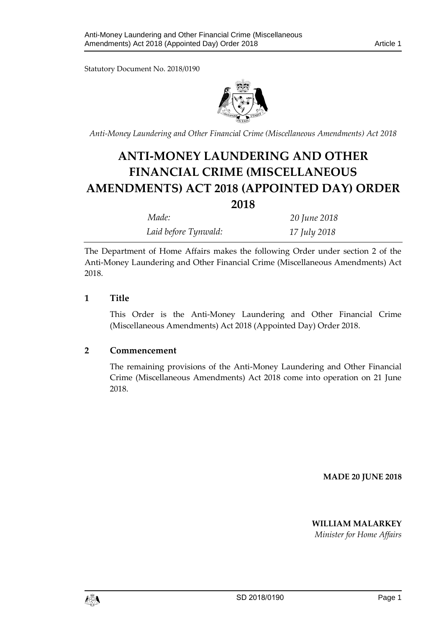Statutory Document No. 2018/0190



*Anti-Money Laundering and Other Financial Crime (Miscellaneous Amendments) Act 2018* 

# **ANTI-MONEY LAUNDERING AND OTHER FINANCIAL CRIME (MISCELLANEOUS AMENDMENTS) ACT 2018 (APPOINTED DAY) ORDER**

**2018**

| -                    |              |
|----------------------|--------------|
| Made:                | 20 June 2018 |
| Laid before Tynwald: | 17 July 2018 |

The Department of Home Affairs makes the following Order under section 2 of the Anti-Money Laundering and Other Financial Crime (Miscellaneous Amendments) Act 2018.

## **1 Title**

This Order is the Anti-Money Laundering and Other Financial Crime (Miscellaneous Amendments) Act 2018 (Appointed Day) Order 2018.

#### **2 Commencement**

The remaining provisions of the Anti-Money Laundering and Other Financial Crime (Miscellaneous Amendments) Act 2018 come into operation on 21 June 2018.

**MADE 20 JUNE 2018** 

## **WILLIAM MALARKEY**

*Minister for Home Affairs*